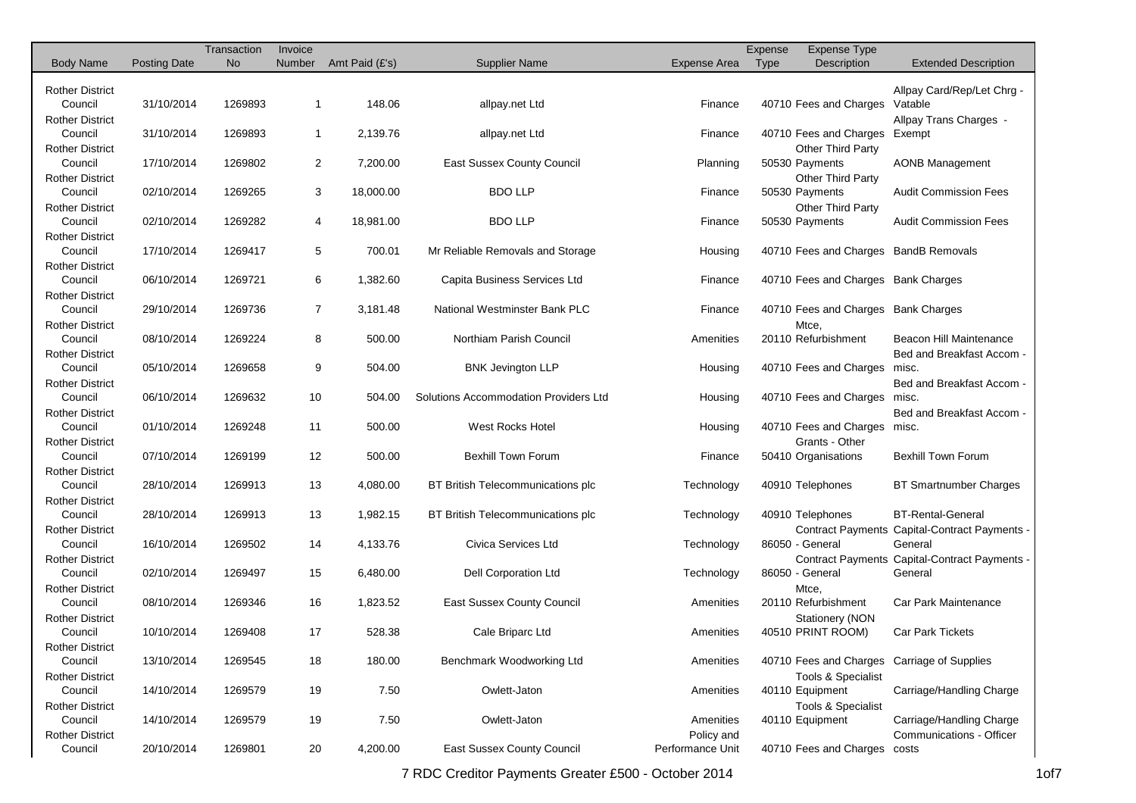|                                   |                     | Transaction | Invoice        |                |                                       |                                | Expense | <b>Expense Type</b>                   |                                               |
|-----------------------------------|---------------------|-------------|----------------|----------------|---------------------------------------|--------------------------------|---------|---------------------------------------|-----------------------------------------------|
| <b>Body Name</b>                  | <b>Posting Date</b> | <b>No</b>   | Number         | Amt Paid (£'s) | <b>Supplier Name</b>                  | <b>Expense Area</b>            | Type    | Description                           | <b>Extended Description</b>                   |
|                                   |                     |             |                |                |                                       |                                |         |                                       |                                               |
| <b>Rother District</b><br>Council | 31/10/2014          | 1269893     | $\mathbf{1}$   | 148.06         | allpay.net Ltd                        | Finance                        |         | 40710 Fees and Charges                | Allpay Card/Rep/Let Chrq -<br>Vatable         |
| <b>Rother District</b>            |                     |             |                |                |                                       |                                |         |                                       | Allpay Trans Charges -                        |
| Council                           | 31/10/2014          | 1269893     | $\mathbf{1}$   | 2,139.76       | allpay.net Ltd                        | Finance                        |         | 40710 Fees and Charges                | Exempt                                        |
| <b>Rother District</b>            |                     |             |                |                |                                       |                                |         | Other Third Party                     |                                               |
| Council                           | 17/10/2014          | 1269802     | $\overline{2}$ | 7,200.00       | <b>East Sussex County Council</b>     | Planning                       |         | 50530 Payments                        | <b>AONB Management</b>                        |
| Rother District                   |                     |             |                |                |                                       |                                |         | Other Third Party                     |                                               |
| Council                           | 02/10/2014          | 1269265     | 3              | 18,000.00      | <b>BDO LLP</b>                        | Finance                        |         | 50530 Payments                        | <b>Audit Commission Fees</b>                  |
| <b>Rother District</b>            |                     |             |                |                |                                       |                                |         | Other Third Party                     |                                               |
| Council                           | 02/10/2014          | 1269282     | 4              | 18,981.00      | <b>BDO LLP</b>                        | Finance                        |         | 50530 Payments                        | <b>Audit Commission Fees</b>                  |
| <b>Rother District</b>            |                     |             |                |                |                                       |                                |         |                                       |                                               |
| Council                           | 17/10/2014          | 1269417     | 5              | 700.01         | Mr Reliable Removals and Storage      | Housing                        |         | 40710 Fees and Charges BandB Removals |                                               |
| <b>Rother District</b>            |                     |             |                |                |                                       |                                |         |                                       |                                               |
| Council                           | 06/10/2014          | 1269721     | 6              | 1,382.60       | Capita Business Services Ltd          | Finance                        |         | 40710 Fees and Charges Bank Charges   |                                               |
| <b>Rother District</b>            |                     |             |                |                |                                       |                                |         |                                       |                                               |
| Council                           | 29/10/2014          | 1269736     | $\overline{7}$ | 3,181.48       | National Westminster Bank PLC         | Finance                        |         | 40710 Fees and Charges Bank Charges   |                                               |
| <b>Rother District</b>            |                     |             |                |                |                                       |                                |         | Mtce,                                 |                                               |
| Council                           | 08/10/2014          | 1269224     | 8              | 500.00         | Northiam Parish Council               | Amenities                      |         | 20110 Refurbishment                   | Beacon Hill Maintenance                       |
| <b>Rother District</b>            |                     |             |                |                |                                       |                                |         |                                       | Bed and Breakfast Accom -                     |
| Council                           | 05/10/2014          | 1269658     | 9              | 504.00         | <b>BNK Jevington LLP</b>              | Housing                        |         | 40710 Fees and Charges                | misc.                                         |
| <b>Rother District</b>            |                     |             |                |                |                                       |                                |         |                                       | Bed and Breakfast Accom -                     |
| Council                           | 06/10/2014          | 1269632     | 10             | 504.00         | Solutions Accommodation Providers Ltd | Housing                        |         | 40710 Fees and Charges                | misc.                                         |
| <b>Rother District</b>            |                     |             |                |                |                                       |                                |         |                                       | Bed and Breakfast Accom -                     |
| Council                           | 01/10/2014          | 1269248     | 11             | 500.00         | <b>West Rocks Hotel</b>               | Housing                        |         | 40710 Fees and Charges misc.          |                                               |
| <b>Rother District</b>            |                     |             |                |                |                                       |                                |         | Grants - Other                        |                                               |
| Council                           | 07/10/2014          | 1269199     | 12             | 500.00         | <b>Bexhill Town Forum</b>             | Finance                        |         | 50410 Organisations                   | <b>Bexhill Town Forum</b>                     |
| <b>Rother District</b>            |                     |             |                |                |                                       |                                |         |                                       |                                               |
| Council                           | 28/10/2014          | 1269913     | 13             | 4,080.00       | BT British Telecommunications plc     | Technology                     |         | 40910 Telephones                      | <b>BT Smartnumber Charges</b>                 |
| <b>Rother District</b>            |                     |             |                |                |                                       |                                |         |                                       |                                               |
| Council                           | 28/10/2014          | 1269913     | 13             | 1,982.15       | BT British Telecommunications plc     | Technology                     |         | 40910 Telephones                      | <b>BT-Rental-General</b>                      |
| <b>Rother District</b>            |                     |             |                |                |                                       |                                |         |                                       | Contract Payments Capital-Contract Payments - |
| Council                           | 16/10/2014          | 1269502     | 14             | 4,133.76       | Civica Services Ltd                   | Technology                     |         | 86050 - General                       | General                                       |
| <b>Rother District</b>            |                     |             |                |                |                                       |                                |         |                                       | Contract Payments Capital-Contract Payments - |
| Council                           | 02/10/2014          | 1269497     | 15             | 6,480.00       | <b>Dell Corporation Ltd</b>           | Technology                     |         | 86050 - General                       | General                                       |
| <b>Rother District</b>            |                     |             |                |                |                                       |                                |         | Mtce,                                 |                                               |
| Council                           | 08/10/2014          | 1269346     | 16             | 1,823.52       | <b>East Sussex County Council</b>     | Amenities                      |         | 20110 Refurbishment                   | Car Park Maintenance                          |
| <b>Rother District</b>            |                     |             |                |                |                                       |                                |         | <b>Stationery (NON</b>                |                                               |
| Council                           | 10/10/2014          | 1269408     | 17             | 528.38         | Cale Briparc Ltd                      | Amenities                      |         | 40510 PRINT ROOM)                     | <b>Car Park Tickets</b>                       |
| Rother District                   |                     |             |                |                |                                       |                                |         |                                       |                                               |
| Council                           | 13/10/2014          | 1269545     | 18             | 180.00         | Benchmark Woodworking Ltd             | Amenities                      |         |                                       | 40710 Fees and Charges Carriage of Supplies   |
| <b>Rother District</b>            |                     |             |                |                |                                       |                                |         | <b>Tools &amp; Specialist</b>         |                                               |
| Council                           | 14/10/2014          | 1269579     | 19             | 7.50           | Owlett-Jaton                          | Amenities                      |         | 40110 Equipment                       | Carriage/Handling Charge                      |
| <b>Rother District</b><br>Council |                     | 1269579     |                | 7.50           | Owlett-Jaton                          |                                |         | <b>Tools &amp; Specialist</b>         |                                               |
|                                   | 14/10/2014          |             | 19             |                |                                       | Amenities                      |         | 40110 Equipment                       | Carriage/Handling Charge                      |
| <b>Rother District</b><br>Council | 20/10/2014          | 1269801     | 20             |                | East Sussex County Council            | Policy and<br>Performance Unit |         | 40710 Fees and Charges costs          | Communications - Officer                      |
|                                   |                     |             |                | 4,200.00       |                                       |                                |         |                                       |                                               |

7 RDC Creditor Payments Greater £500 - October 2014 107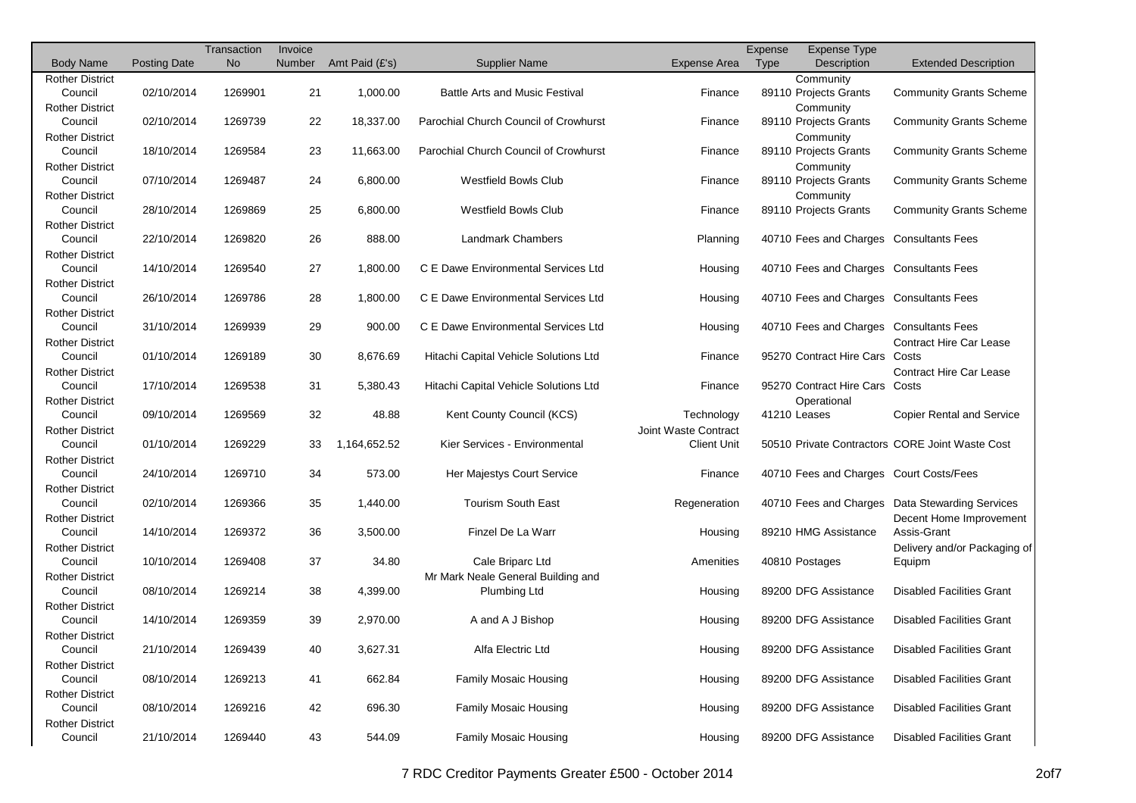|                                   |                     | Transaction | Invoice |                |                                       |                      | Expense | <b>Expense Type</b>                     |                                                 |
|-----------------------------------|---------------------|-------------|---------|----------------|---------------------------------------|----------------------|---------|-----------------------------------------|-------------------------------------------------|
| <b>Body Name</b>                  | <b>Posting Date</b> | <b>No</b>   | Number  | Amt Paid (£'s) | <b>Supplier Name</b>                  | <b>Expense Area</b>  | Type    | Description                             | <b>Extended Description</b>                     |
| <b>Rother District</b>            |                     |             |         |                |                                       |                      |         | Community                               |                                                 |
| Council                           | 02/10/2014          | 1269901     | 21      | 1,000.00       | <b>Battle Arts and Music Festival</b> | Finance              |         | 89110 Projects Grants                   | <b>Community Grants Scheme</b>                  |
| <b>Rother District</b>            |                     |             |         |                |                                       |                      |         | Community                               |                                                 |
| Council                           | 02/10/2014          | 1269739     | 22      | 18,337.00      | Parochial Church Council of Crowhurst | Finance              |         | 89110 Projects Grants                   | <b>Community Grants Scheme</b>                  |
| <b>Rother District</b>            |                     |             |         |                |                                       |                      |         | Community                               |                                                 |
| Council                           | 18/10/2014          | 1269584     | 23      | 11,663.00      | Parochial Church Council of Crowhurst | Finance              |         | 89110 Projects Grants                   | <b>Community Grants Scheme</b>                  |
| <b>Rother District</b>            |                     |             |         |                |                                       |                      |         | Community                               |                                                 |
| Council                           | 07/10/2014          | 1269487     | 24      | 6,800.00       | Westfield Bowls Club                  | Finance              |         | 89110 Projects Grants                   | <b>Community Grants Scheme</b>                  |
| <b>Rother District</b>            |                     |             |         |                |                                       |                      |         | Community                               |                                                 |
| Council                           | 28/10/2014          | 1269869     | 25      | 6,800.00       | Westfield Bowls Club                  | Finance              |         | 89110 Projects Grants                   | <b>Community Grants Scheme</b>                  |
| <b>Rother District</b>            |                     |             |         |                |                                       |                      |         |                                         |                                                 |
| Council                           | 22/10/2014          | 1269820     | 26      | 888.00         | <b>Landmark Chambers</b>              | Planning             |         | 40710 Fees and Charges Consultants Fees |                                                 |
| <b>Rother District</b>            |                     |             |         |                |                                       |                      |         |                                         |                                                 |
| Council                           | 14/10/2014          | 1269540     | 27      | 1,800.00       | C E Dawe Environmental Services Ltd   | Housing              |         | 40710 Fees and Charges Consultants Fees |                                                 |
| <b>Rother District</b>            |                     |             |         |                |                                       |                      |         |                                         |                                                 |
| Council                           | 26/10/2014          | 1269786     | 28      | 1,800.00       | C E Dawe Environmental Services Ltd   | Housing              |         | 40710 Fees and Charges Consultants Fees |                                                 |
| <b>Rother District</b>            |                     |             |         |                |                                       |                      |         |                                         |                                                 |
| Council                           | 31/10/2014          | 1269939     | 29      | 900.00         | C E Dawe Environmental Services Ltd   | Housing              |         | 40710 Fees and Charges Consultants Fees |                                                 |
| <b>Rother District</b>            |                     |             |         |                |                                       |                      |         |                                         | <b>Contract Hire Car Lease</b>                  |
| Council                           | 01/10/2014          | 1269189     | 30      | 8,676.69       | Hitachi Capital Vehicle Solutions Ltd | Finance              |         | 95270 Contract Hire Cars                | Costs                                           |
| <b>Rother District</b>            |                     |             |         |                |                                       |                      |         |                                         | <b>Contract Hire Car Lease</b>                  |
| Council                           | 17/10/2014          | 1269538     | 31      | 5.380.43       | Hitachi Capital Vehicle Solutions Ltd | Finance              |         | 95270 Contract Hire Cars Costs          |                                                 |
| <b>Rother District</b>            |                     |             |         |                |                                       |                      |         | Operational                             |                                                 |
| Council                           | 09/10/2014          | 1269569     | 32      | 48.88          | Kent County Council (KCS)             | Technology           |         | 41210 Leases                            | <b>Copier Rental and Service</b>                |
| <b>Rother District</b>            |                     |             |         |                |                                       | Joint Waste Contract |         |                                         |                                                 |
| Council                           | 01/10/2014          | 1269229     | 33      | 1,164,652.52   | Kier Services - Environmental         | <b>Client Unit</b>   |         |                                         | 50510 Private Contractors CORE Joint Waste Cost |
| <b>Rother District</b>            |                     |             |         |                |                                       |                      |         |                                         |                                                 |
| Council                           | 24/10/2014          | 1269710     | 34      | 573.00         | Her Majestys Court Service            | Finance              |         | 40710 Fees and Charges Court Costs/Fees |                                                 |
| <b>Rother District</b>            |                     |             |         |                |                                       |                      |         |                                         |                                                 |
| Council                           | 02/10/2014          | 1269366     | 35      | 1,440.00       | <b>Tourism South East</b>             | Regeneration         |         |                                         | 40710 Fees and Charges Data Stewarding Services |
| <b>Rother District</b><br>Council | 14/10/2014          | 1269372     | 36      | 3,500.00       | Finzel De La Warr                     |                      |         | 89210 HMG Assistance                    | Decent Home Improvement<br>Assis-Grant          |
| <b>Rother District</b>            |                     |             |         |                |                                       | Housing              |         |                                         |                                                 |
| Council                           | 10/10/2014          | 1269408     | 37      | 34.80          | Cale Briparc Ltd                      | Amenities            |         | 40810 Postages                          | Delivery and/or Packaging of<br>Equipm          |
| <b>Rother District</b>            |                     |             |         |                | Mr Mark Neale General Building and    |                      |         |                                         |                                                 |
| Council                           | 08/10/2014          | 1269214     | 38      | 4,399.00       | Plumbing Ltd                          | Housing              |         | 89200 DFG Assistance                    | <b>Disabled Facilities Grant</b>                |
| <b>Rother District</b>            |                     |             |         |                |                                       |                      |         |                                         |                                                 |
| Council                           | 14/10/2014          | 1269359     | 39      | 2,970.00       | A and A J Bishop                      | Housing              |         | 89200 DFG Assistance                    | <b>Disabled Facilities Grant</b>                |
| <b>Rother District</b>            |                     |             |         |                |                                       |                      |         |                                         |                                                 |
| Council                           | 21/10/2014          | 1269439     | 40      | 3,627.31       | Alfa Electric Ltd                     | Housing              |         | 89200 DFG Assistance                    | <b>Disabled Facilities Grant</b>                |
| <b>Rother District</b>            |                     |             |         |                |                                       |                      |         |                                         |                                                 |
| Council                           | 08/10/2014          | 1269213     | 41      | 662.84         | <b>Family Mosaic Housing</b>          | Housing              |         | 89200 DFG Assistance                    | <b>Disabled Facilities Grant</b>                |
| <b>Rother District</b>            |                     |             |         |                |                                       |                      |         |                                         |                                                 |
| Council                           | 08/10/2014          | 1269216     | 42      | 696.30         | <b>Family Mosaic Housing</b>          | Housing              |         | 89200 DFG Assistance                    | <b>Disabled Facilities Grant</b>                |
| <b>Rother District</b>            |                     |             |         |                |                                       |                      |         |                                         |                                                 |
| Council                           | 21/10/2014          | 1269440     | 43      | 544.09         | Family Mosaic Housing                 | Housing              |         | 89200 DFG Assistance                    | <b>Disabled Facilities Grant</b>                |
|                                   |                     |             |         |                |                                       |                      |         |                                         |                                                 |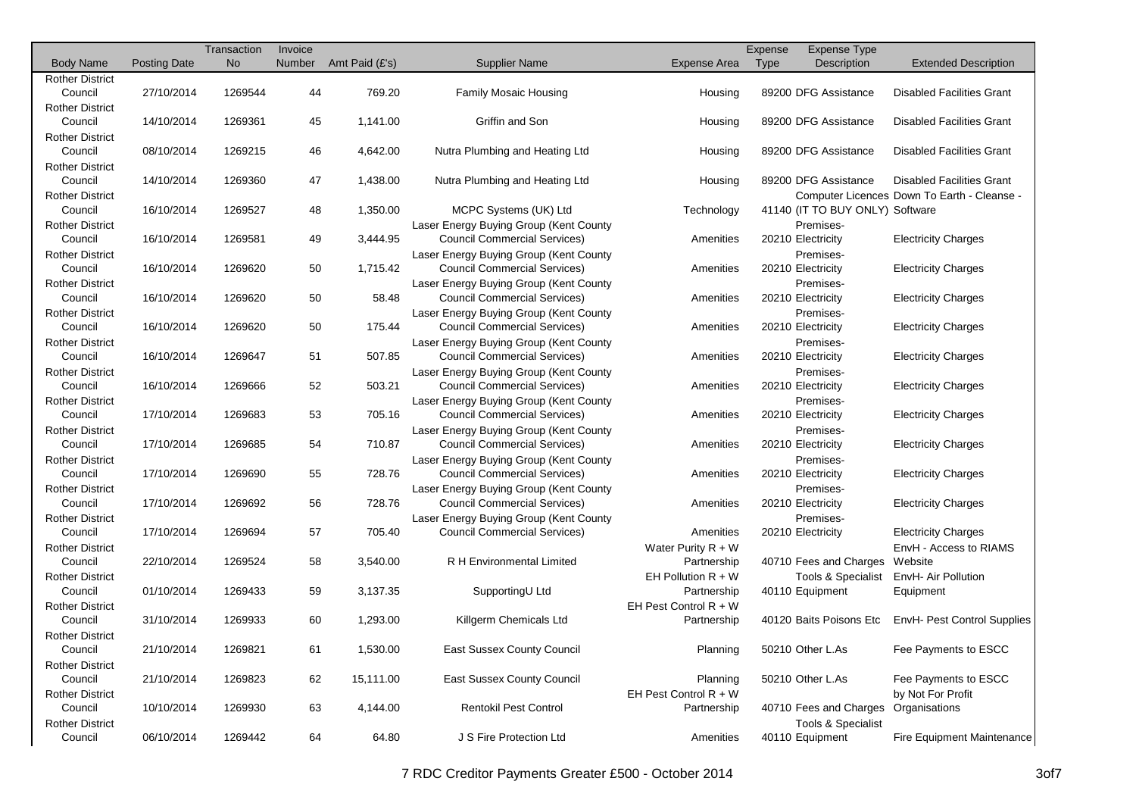|                        |                     | Transaction | Invoice |                |                                        |                         | Expense | Expense Type                    |                                             |
|------------------------|---------------------|-------------|---------|----------------|----------------------------------------|-------------------------|---------|---------------------------------|---------------------------------------------|
| <b>Body Name</b>       | <b>Posting Date</b> | <b>No</b>   | Number  | Amt Paid (£'s) | <b>Supplier Name</b>                   | Expense Area            | Type    | Description                     | <b>Extended Description</b>                 |
| <b>Rother District</b> |                     |             |         |                |                                        |                         |         |                                 |                                             |
| Council                | 27/10/2014          | 1269544     | 44      | 769.20         | <b>Family Mosaic Housing</b>           | Housing                 |         | 89200 DFG Assistance            | <b>Disabled Facilities Grant</b>            |
| <b>Rother District</b> |                     |             |         |                |                                        |                         |         |                                 |                                             |
| Council                | 14/10/2014          | 1269361     | 45      | 1,141.00       | Griffin and Son                        | Housing                 |         | 89200 DFG Assistance            | <b>Disabled Facilities Grant</b>            |
| <b>Rother District</b> |                     |             |         |                |                                        |                         |         |                                 |                                             |
| Council                | 08/10/2014          | 1269215     | 46      | 4,642.00       | Nutra Plumbing and Heating Ltd         | Housing                 |         | 89200 DFG Assistance            | <b>Disabled Facilities Grant</b>            |
| <b>Rother District</b> |                     |             |         |                |                                        |                         |         |                                 |                                             |
| Council                | 14/10/2014          | 1269360     | 47      | 1,438.00       | Nutra Plumbing and Heating Ltd         | Housing                 |         | 89200 DFG Assistance            | <b>Disabled Facilities Grant</b>            |
| <b>Rother District</b> |                     |             |         |                |                                        |                         |         |                                 | Computer Licences Down To Earth - Cleanse - |
| Council                | 16/10/2014          | 1269527     | 48      | 1,350.00       | MCPC Systems (UK) Ltd                  | Technology              |         | 41140 (IT TO BUY ONLY) Software |                                             |
| <b>Rother District</b> |                     |             |         |                | Laser Energy Buying Group (Kent County |                         |         | Premises-                       |                                             |
| Council                | 16/10/2014          | 1269581     | 49      | 3,444.95       | <b>Council Commercial Services)</b>    | Amenities               |         | 20210 Electricity               | <b>Electricity Charges</b>                  |
| <b>Rother District</b> |                     |             |         |                | Laser Energy Buying Group (Kent County |                         |         | Premises-                       |                                             |
| Council                | 16/10/2014          | 1269620     | 50      | 1,715.42       | <b>Council Commercial Services)</b>    | Amenities               |         | 20210 Electricity               | <b>Electricity Charges</b>                  |
| <b>Rother District</b> |                     |             |         |                | Laser Energy Buying Group (Kent County |                         |         | Premises-                       |                                             |
| Council                | 16/10/2014          | 1269620     | 50      | 58.48          | <b>Council Commercial Services)</b>    | Amenities               |         | 20210 Electricity               | <b>Electricity Charges</b>                  |
| <b>Rother District</b> |                     |             |         |                | Laser Energy Buying Group (Kent County |                         |         | Premises-                       |                                             |
| Council                | 16/10/2014          | 1269620     | 50      | 175.44         | <b>Council Commercial Services)</b>    | Amenities               |         | 20210 Electricity               | <b>Electricity Charges</b>                  |
| <b>Rother District</b> |                     |             |         |                | Laser Energy Buying Group (Kent County |                         |         | Premises-                       |                                             |
| Council                | 16/10/2014          | 1269647     | 51      | 507.85         | <b>Council Commercial Services)</b>    | Amenities               |         | 20210 Electricity               | <b>Electricity Charges</b>                  |
| <b>Rother District</b> |                     |             |         |                | Laser Energy Buying Group (Kent County |                         |         | Premises-                       |                                             |
| Council                | 16/10/2014          | 1269666     | 52      | 503.21         | <b>Council Commercial Services)</b>    | Amenities               |         | 20210 Electricity               | <b>Electricity Charges</b>                  |
| <b>Rother District</b> |                     |             |         |                | Laser Energy Buying Group (Kent County |                         |         | Premises-                       |                                             |
| Council                | 17/10/2014          | 1269683     | 53      | 705.16         | <b>Council Commercial Services)</b>    | Amenities               |         | 20210 Electricity               | <b>Electricity Charges</b>                  |
| <b>Rother District</b> |                     |             |         |                | Laser Energy Buying Group (Kent County |                         |         | Premises-                       |                                             |
| Council                | 17/10/2014          | 1269685     | 54      | 710.87         | <b>Council Commercial Services)</b>    | Amenities               |         | 20210 Electricity               | <b>Electricity Charges</b>                  |
| <b>Rother District</b> |                     |             |         |                | Laser Energy Buying Group (Kent County |                         |         | Premises-                       |                                             |
| Council                | 17/10/2014          | 1269690     | 55      | 728.76         | <b>Council Commercial Services)</b>    | Amenities               |         | 20210 Electricity               | <b>Electricity Charges</b>                  |
| <b>Rother District</b> |                     |             |         |                | Laser Energy Buying Group (Kent County |                         |         | Premises-                       |                                             |
| Council                | 17/10/2014          | 1269692     | 56      | 728.76         | <b>Council Commercial Services)</b>    | Amenities               |         | 20210 Electricity               | <b>Electricity Charges</b>                  |
| <b>Rother District</b> |                     |             |         |                | Laser Energy Buying Group (Kent County |                         |         | Premises-                       |                                             |
| Council                | 17/10/2014          | 1269694     | 57      | 705.40         | <b>Council Commercial Services)</b>    | Amenities               |         | 20210 Electricity               | <b>Electricity Charges</b>                  |
| <b>Rother District</b> |                     |             |         |                |                                        | Water Purity $R + W$    |         |                                 | EnvH - Access to RIAMS                      |
| Council                | 22/10/2014          | 1269524     | 58      | 3,540.00       | <b>R H Environmental Limited</b>       | Partnership             |         | 40710 Fees and Charges          | Website                                     |
| <b>Rother District</b> |                     |             |         |                |                                        | EH Pollution $R + W$    |         | <b>Tools &amp; Specialist</b>   | EnvH- Air Pollution                         |
| Council                | 01/10/2014          | 1269433     | 59      | 3,137.35       | SupportingU Ltd                        | Partnership             |         | 40110 Equipment                 | Equipment                                   |
| <b>Rother District</b> |                     |             |         |                |                                        | EH Pest Control $R + W$ |         |                                 |                                             |
| Council                | 31/10/2014          | 1269933     | 60      | 1,293.00       | Killgerm Chemicals Ltd                 | Partnership             |         | 40120 Baits Poisons Etc         | EnvH- Pest Control Supplies                 |
| <b>Rother District</b> |                     |             |         |                |                                        |                         |         |                                 |                                             |
| Council                | 21/10/2014          | 1269821     | 61      | 1,530.00       | East Sussex County Council             | Planning                |         | 50210 Other L.As                | Fee Payments to ESCC                        |
| <b>Rother District</b> |                     |             |         |                |                                        |                         |         |                                 |                                             |
| Council                | 21/10/2014          | 1269823     | 62      | 15,111.00      | East Sussex County Council             | Planning                |         | 50210 Other L.As                | Fee Payments to ESCC                        |
| <b>Rother District</b> |                     |             |         |                |                                        | EH Pest Control $R + W$ |         |                                 | by Not For Profit                           |
| Council                | 10/10/2014          | 1269930     | 63      | 4,144.00       | <b>Rentokil Pest Control</b>           | Partnership             |         | 40710 Fees and Charges          | Organisations                               |
| <b>Rother District</b> |                     |             |         |                |                                        |                         |         | <b>Tools &amp; Specialist</b>   |                                             |
| Council                | 06/10/2014          | 1269442     | 64      | 64.80          | J S Fire Protection Ltd                | Amenities               |         | 40110 Equipment                 | Fire Equipment Maintenance                  |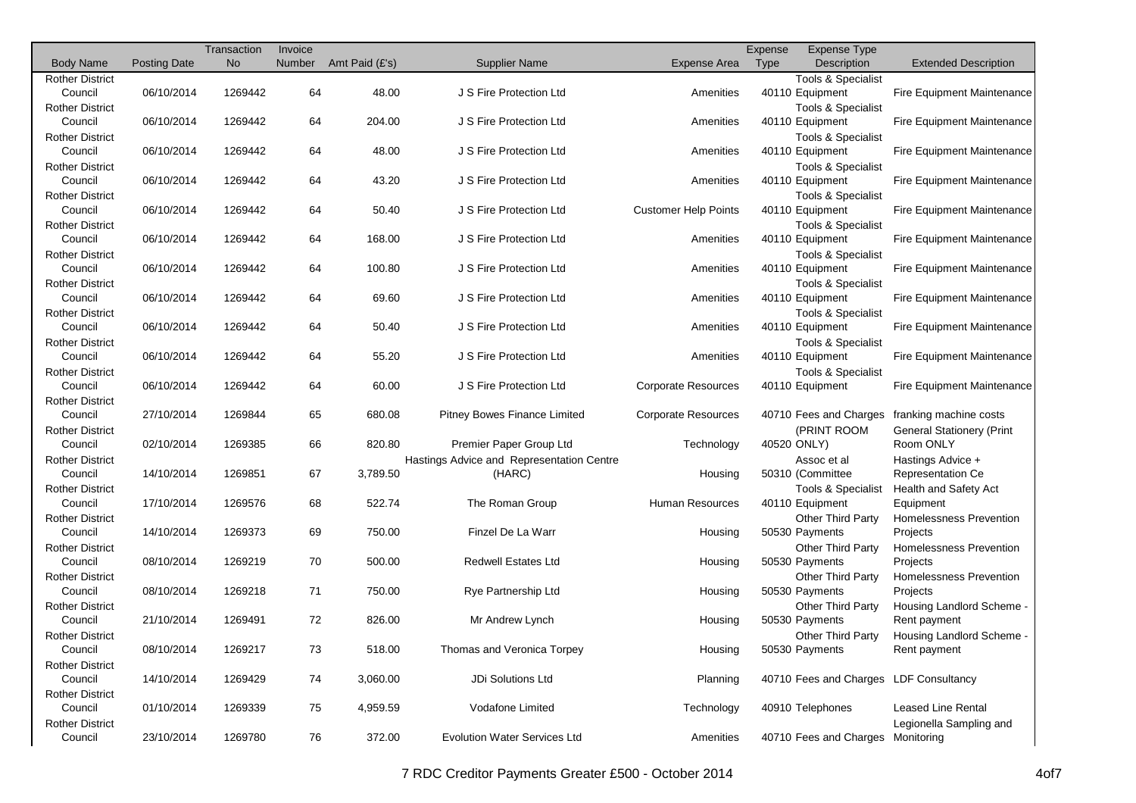| <b>No</b><br>Number<br>Amt Paid (£'s)<br>Expense Area<br>Type<br>Description<br><b>Body Name</b><br><b>Posting Date</b><br><b>Supplier Name</b><br><b>Extended Description</b><br><b>Rother District</b><br><b>Tools &amp; Specialist</b><br>Council<br>06/10/2014<br>1269442<br>64<br>48.00<br>J S Fire Protection Ltd<br>40110 Equipment<br>Amenities<br>Fire Equipment Maintenance<br><b>Rother District</b><br><b>Tools &amp; Specialist</b><br>06/10/2014<br>1269442<br>64<br>204.00<br>J S Fire Protection Ltd<br>Fire Equipment Maintenance<br>Council<br>Amenities<br>40110 Equipment<br><b>Rother District</b><br><b>Tools &amp; Specialist</b><br>Council<br>06/10/2014<br>48.00<br>J S Fire Protection Ltd<br>1269442<br>64<br>Amenities<br>40110 Equipment<br>Fire Equipment Maintenance<br><b>Rother District</b><br><b>Tools &amp; Specialist</b><br>Council<br>06/10/2014<br>1269442<br>64<br>43.20<br>J S Fire Protection Ltd<br>Amenities<br>40110 Equipment<br>Fire Equipment Maintenance<br><b>Rother District</b><br><b>Tools &amp; Specialist</b><br>Council<br>06/10/2014<br>64<br>J S Fire Protection Ltd<br><b>Customer Help Points</b><br>1269442<br>50.40<br>40110 Equipment<br>Fire Equipment Maintenance<br><b>Rother District</b><br><b>Tools &amp; Specialist</b><br>Council<br>06/10/2014<br>1269442<br>64<br>168.00<br>J S Fire Protection Ltd<br>40110 Equipment<br>Amenities<br>Fire Equipment Maintenance<br><b>Rother District</b><br><b>Tools &amp; Specialist</b><br>Council<br>06/10/2014<br>1269442<br>64<br>100.80<br>J S Fire Protection Ltd<br>Amenities<br>40110 Equipment<br>Fire Equipment Maintenance<br><b>Rother District</b><br><b>Tools &amp; Specialist</b><br>06/10/2014<br>1269442<br>64<br>69.60<br>J S Fire Protection Ltd<br>Amenities<br>Council<br>40110 Equipment<br>Fire Equipment Maintenance<br><b>Rother District</b><br>Tools & Specialist<br>06/10/2014<br>64<br>50.40<br>J S Fire Protection Ltd<br>Council<br>1269442<br>Amenities<br>40110 Equipment<br>Fire Equipment Maintenance<br><b>Rother District</b><br><b>Tools &amp; Specialist</b><br>06/10/2014<br>1269442<br>64<br>55.20<br>J S Fire Protection Ltd<br>Council<br>Amenities<br>40110 Equipment<br>Fire Equipment Maintenance<br><b>Rother District</b><br><b>Tools &amp; Specialist</b><br>Council<br>06/10/2014<br>64<br>60.00<br>J S Fire Protection Ltd<br><b>Corporate Resources</b><br>1269442<br>40110 Equipment<br>Fire Equipment Maintenance<br><b>Rother District</b><br>Council<br>27/10/2014<br>1269844<br>65<br>680.08<br><b>Pitney Bowes Finance Limited</b><br><b>Corporate Resources</b><br>40710 Fees and Charges<br>franking machine costs<br><b>Rother District</b><br>(PRINT ROOM<br><b>General Stationery (Print</b><br>02/10/2014<br>66<br>820.80<br>Premier Paper Group Ltd<br>Technology<br>40520 ONLY)<br>Room ONLY<br>Council<br>1269385<br>Hastings Advice and Representation Centre<br><b>Rother District</b><br>Hastings Advice +<br>Assoc et al<br>14/10/2014<br>1269851<br>67<br>3,789.50<br>(HARC)<br>50310 (Committee<br>Council<br>Housing<br><b>Representation Ce</b><br><b>Rother District</b><br><b>Tools &amp; Specialist</b><br>Health and Safety Act<br><b>Human Resources</b><br>Council<br>17/10/2014<br>522.74<br>The Roman Group<br>1269576<br>68<br>40110 Equipment<br>Equipment<br><b>Rother District</b><br><b>Other Third Party</b><br>Homelessness Prevention<br>Council<br>14/10/2014<br>1269373<br>69<br>750.00<br>Finzel De La Warr<br>50530 Payments<br>Housing<br>Projects<br><b>Rother District</b><br><b>Other Third Party</b><br>Homelessness Prevention<br>08/10/2014<br>70<br>500.00<br><b>Redwell Estates Ltd</b><br>50530 Payments<br>Projects<br>Council<br>1269219<br>Housing<br><b>Rother District</b><br><b>Other Third Party</b><br>Homelessness Prevention<br>08/10/2014<br>1269218<br>71<br>750.00<br>50530 Payments<br>Projects<br>Council<br>Rye Partnership Ltd<br>Housing<br><b>Rother District</b><br>Other Third Party<br>Housing Landlord Scheme -<br>21/10/2014<br>72<br>50530 Payments<br>Council<br>1269491<br>826.00<br>Mr Andrew Lynch<br>Housing<br>Rent payment<br><b>Rother District</b><br><b>Other Third Party</b><br>Housing Landlord Scheme -<br>08/10/2014<br>1269217<br>73<br>518.00<br>Thomas and Veronica Torpey<br>50530 Payments<br>Council<br>Housing<br>Rent payment<br><b>Rother District</b><br>JDi Solutions Ltd<br>40710 Fees and Charges LDF Consultancy<br>Council<br>14/10/2014<br>1269429<br>3,060.00<br>Planning<br>74<br><b>Rother District</b><br>Council<br>01/10/2014<br>1269339<br>4,959.59<br>Vodafone Limited<br>Technology<br>40910 Telephones<br><b>Leased Line Rental</b><br>75<br><b>Rother District</b><br>Legionella Sampling and<br>23/10/2014<br>372.00<br><b>Evolution Water Services Ltd</b><br>40710 Fees and Charges Monitoring<br>Council<br>1269780<br>76<br>Amenities |  | Transaction | Invoice |  | Expense | <b>Expense Type</b> |  |
|--------------------------------------------------------------------------------------------------------------------------------------------------------------------------------------------------------------------------------------------------------------------------------------------------------------------------------------------------------------------------------------------------------------------------------------------------------------------------------------------------------------------------------------------------------------------------------------------------------------------------------------------------------------------------------------------------------------------------------------------------------------------------------------------------------------------------------------------------------------------------------------------------------------------------------------------------------------------------------------------------------------------------------------------------------------------------------------------------------------------------------------------------------------------------------------------------------------------------------------------------------------------------------------------------------------------------------------------------------------------------------------------------------------------------------------------------------------------------------------------------------------------------------------------------------------------------------------------------------------------------------------------------------------------------------------------------------------------------------------------------------------------------------------------------------------------------------------------------------------------------------------------------------------------------------------------------------------------------------------------------------------------------------------------------------------------------------------------------------------------------------------------------------------------------------------------------------------------------------------------------------------------------------------------------------------------------------------------------------------------------------------------------------------------------------------------------------------------------------------------------------------------------------------------------------------------------------------------------------------------------------------------------------------------------------------------------------------------------------------------------------------------------------------------------------------------------------------------------------------------------------------------------------------------------------------------------------------------------------------------------------------------------------------------------------------------------------------------------------------------------------------------------------------------------------------------------------------------------------------------------------------------------------------------------------------------------------------------------------------------------------------------------------------------------------------------------------------------------------------------------------------------------------------------------------------------------------------------------------------------------------------------------------------------------------------------------------------------------------------------------------------------------------------------------------------------------------------------------------------------------------------------------------------------------------------------------------------------------------------------------------------------------------------------------------------------------------------------------------------------------------------------------------------------------------------------------------------------------------------------------------------------------------------------------------------------------------------------------------------------------------------------------------------------------------------------------------------------------------------------------------------------------------------------------------------------------------------------------------------------------------------------------------------------------------------------------------------------------------------------------------------------------------------------------------------------------------------------------------------------------------------------------------------------------------------|--|-------------|---------|--|---------|---------------------|--|
|                                                                                                                                                                                                                                                                                                                                                                                                                                                                                                                                                                                                                                                                                                                                                                                                                                                                                                                                                                                                                                                                                                                                                                                                                                                                                                                                                                                                                                                                                                                                                                                                                                                                                                                                                                                                                                                                                                                                                                                                                                                                                                                                                                                                                                                                                                                                                                                                                                                                                                                                                                                                                                                                                                                                                                                                                                                                                                                                                                                                                                                                                                                                                                                                                                                                                                                                                                                                                                                                                                                                                                                                                                                                                                                                                                                                                                                                                                                                                                                                                                                                                                                                                                                                                                                                                                                                                                                                                                                                                                                                                                                                                                                                                                                                                                                                                                                                                                                                      |  |             |         |  |         |                     |  |
|                                                                                                                                                                                                                                                                                                                                                                                                                                                                                                                                                                                                                                                                                                                                                                                                                                                                                                                                                                                                                                                                                                                                                                                                                                                                                                                                                                                                                                                                                                                                                                                                                                                                                                                                                                                                                                                                                                                                                                                                                                                                                                                                                                                                                                                                                                                                                                                                                                                                                                                                                                                                                                                                                                                                                                                                                                                                                                                                                                                                                                                                                                                                                                                                                                                                                                                                                                                                                                                                                                                                                                                                                                                                                                                                                                                                                                                                                                                                                                                                                                                                                                                                                                                                                                                                                                                                                                                                                                                                                                                                                                                                                                                                                                                                                                                                                                                                                                                                      |  |             |         |  |         |                     |  |
|                                                                                                                                                                                                                                                                                                                                                                                                                                                                                                                                                                                                                                                                                                                                                                                                                                                                                                                                                                                                                                                                                                                                                                                                                                                                                                                                                                                                                                                                                                                                                                                                                                                                                                                                                                                                                                                                                                                                                                                                                                                                                                                                                                                                                                                                                                                                                                                                                                                                                                                                                                                                                                                                                                                                                                                                                                                                                                                                                                                                                                                                                                                                                                                                                                                                                                                                                                                                                                                                                                                                                                                                                                                                                                                                                                                                                                                                                                                                                                                                                                                                                                                                                                                                                                                                                                                                                                                                                                                                                                                                                                                                                                                                                                                                                                                                                                                                                                                                      |  |             |         |  |         |                     |  |
|                                                                                                                                                                                                                                                                                                                                                                                                                                                                                                                                                                                                                                                                                                                                                                                                                                                                                                                                                                                                                                                                                                                                                                                                                                                                                                                                                                                                                                                                                                                                                                                                                                                                                                                                                                                                                                                                                                                                                                                                                                                                                                                                                                                                                                                                                                                                                                                                                                                                                                                                                                                                                                                                                                                                                                                                                                                                                                                                                                                                                                                                                                                                                                                                                                                                                                                                                                                                                                                                                                                                                                                                                                                                                                                                                                                                                                                                                                                                                                                                                                                                                                                                                                                                                                                                                                                                                                                                                                                                                                                                                                                                                                                                                                                                                                                                                                                                                                                                      |  |             |         |  |         |                     |  |
|                                                                                                                                                                                                                                                                                                                                                                                                                                                                                                                                                                                                                                                                                                                                                                                                                                                                                                                                                                                                                                                                                                                                                                                                                                                                                                                                                                                                                                                                                                                                                                                                                                                                                                                                                                                                                                                                                                                                                                                                                                                                                                                                                                                                                                                                                                                                                                                                                                                                                                                                                                                                                                                                                                                                                                                                                                                                                                                                                                                                                                                                                                                                                                                                                                                                                                                                                                                                                                                                                                                                                                                                                                                                                                                                                                                                                                                                                                                                                                                                                                                                                                                                                                                                                                                                                                                                                                                                                                                                                                                                                                                                                                                                                                                                                                                                                                                                                                                                      |  |             |         |  |         |                     |  |
|                                                                                                                                                                                                                                                                                                                                                                                                                                                                                                                                                                                                                                                                                                                                                                                                                                                                                                                                                                                                                                                                                                                                                                                                                                                                                                                                                                                                                                                                                                                                                                                                                                                                                                                                                                                                                                                                                                                                                                                                                                                                                                                                                                                                                                                                                                                                                                                                                                                                                                                                                                                                                                                                                                                                                                                                                                                                                                                                                                                                                                                                                                                                                                                                                                                                                                                                                                                                                                                                                                                                                                                                                                                                                                                                                                                                                                                                                                                                                                                                                                                                                                                                                                                                                                                                                                                                                                                                                                                                                                                                                                                                                                                                                                                                                                                                                                                                                                                                      |  |             |         |  |         |                     |  |
|                                                                                                                                                                                                                                                                                                                                                                                                                                                                                                                                                                                                                                                                                                                                                                                                                                                                                                                                                                                                                                                                                                                                                                                                                                                                                                                                                                                                                                                                                                                                                                                                                                                                                                                                                                                                                                                                                                                                                                                                                                                                                                                                                                                                                                                                                                                                                                                                                                                                                                                                                                                                                                                                                                                                                                                                                                                                                                                                                                                                                                                                                                                                                                                                                                                                                                                                                                                                                                                                                                                                                                                                                                                                                                                                                                                                                                                                                                                                                                                                                                                                                                                                                                                                                                                                                                                                                                                                                                                                                                                                                                                                                                                                                                                                                                                                                                                                                                                                      |  |             |         |  |         |                     |  |
|                                                                                                                                                                                                                                                                                                                                                                                                                                                                                                                                                                                                                                                                                                                                                                                                                                                                                                                                                                                                                                                                                                                                                                                                                                                                                                                                                                                                                                                                                                                                                                                                                                                                                                                                                                                                                                                                                                                                                                                                                                                                                                                                                                                                                                                                                                                                                                                                                                                                                                                                                                                                                                                                                                                                                                                                                                                                                                                                                                                                                                                                                                                                                                                                                                                                                                                                                                                                                                                                                                                                                                                                                                                                                                                                                                                                                                                                                                                                                                                                                                                                                                                                                                                                                                                                                                                                                                                                                                                                                                                                                                                                                                                                                                                                                                                                                                                                                                                                      |  |             |         |  |         |                     |  |
|                                                                                                                                                                                                                                                                                                                                                                                                                                                                                                                                                                                                                                                                                                                                                                                                                                                                                                                                                                                                                                                                                                                                                                                                                                                                                                                                                                                                                                                                                                                                                                                                                                                                                                                                                                                                                                                                                                                                                                                                                                                                                                                                                                                                                                                                                                                                                                                                                                                                                                                                                                                                                                                                                                                                                                                                                                                                                                                                                                                                                                                                                                                                                                                                                                                                                                                                                                                                                                                                                                                                                                                                                                                                                                                                                                                                                                                                                                                                                                                                                                                                                                                                                                                                                                                                                                                                                                                                                                                                                                                                                                                                                                                                                                                                                                                                                                                                                                                                      |  |             |         |  |         |                     |  |
|                                                                                                                                                                                                                                                                                                                                                                                                                                                                                                                                                                                                                                                                                                                                                                                                                                                                                                                                                                                                                                                                                                                                                                                                                                                                                                                                                                                                                                                                                                                                                                                                                                                                                                                                                                                                                                                                                                                                                                                                                                                                                                                                                                                                                                                                                                                                                                                                                                                                                                                                                                                                                                                                                                                                                                                                                                                                                                                                                                                                                                                                                                                                                                                                                                                                                                                                                                                                                                                                                                                                                                                                                                                                                                                                                                                                                                                                                                                                                                                                                                                                                                                                                                                                                                                                                                                                                                                                                                                                                                                                                                                                                                                                                                                                                                                                                                                                                                                                      |  |             |         |  |         |                     |  |
|                                                                                                                                                                                                                                                                                                                                                                                                                                                                                                                                                                                                                                                                                                                                                                                                                                                                                                                                                                                                                                                                                                                                                                                                                                                                                                                                                                                                                                                                                                                                                                                                                                                                                                                                                                                                                                                                                                                                                                                                                                                                                                                                                                                                                                                                                                                                                                                                                                                                                                                                                                                                                                                                                                                                                                                                                                                                                                                                                                                                                                                                                                                                                                                                                                                                                                                                                                                                                                                                                                                                                                                                                                                                                                                                                                                                                                                                                                                                                                                                                                                                                                                                                                                                                                                                                                                                                                                                                                                                                                                                                                                                                                                                                                                                                                                                                                                                                                                                      |  |             |         |  |         |                     |  |
|                                                                                                                                                                                                                                                                                                                                                                                                                                                                                                                                                                                                                                                                                                                                                                                                                                                                                                                                                                                                                                                                                                                                                                                                                                                                                                                                                                                                                                                                                                                                                                                                                                                                                                                                                                                                                                                                                                                                                                                                                                                                                                                                                                                                                                                                                                                                                                                                                                                                                                                                                                                                                                                                                                                                                                                                                                                                                                                                                                                                                                                                                                                                                                                                                                                                                                                                                                                                                                                                                                                                                                                                                                                                                                                                                                                                                                                                                                                                                                                                                                                                                                                                                                                                                                                                                                                                                                                                                                                                                                                                                                                                                                                                                                                                                                                                                                                                                                                                      |  |             |         |  |         |                     |  |
|                                                                                                                                                                                                                                                                                                                                                                                                                                                                                                                                                                                                                                                                                                                                                                                                                                                                                                                                                                                                                                                                                                                                                                                                                                                                                                                                                                                                                                                                                                                                                                                                                                                                                                                                                                                                                                                                                                                                                                                                                                                                                                                                                                                                                                                                                                                                                                                                                                                                                                                                                                                                                                                                                                                                                                                                                                                                                                                                                                                                                                                                                                                                                                                                                                                                                                                                                                                                                                                                                                                                                                                                                                                                                                                                                                                                                                                                                                                                                                                                                                                                                                                                                                                                                                                                                                                                                                                                                                                                                                                                                                                                                                                                                                                                                                                                                                                                                                                                      |  |             |         |  |         |                     |  |
|                                                                                                                                                                                                                                                                                                                                                                                                                                                                                                                                                                                                                                                                                                                                                                                                                                                                                                                                                                                                                                                                                                                                                                                                                                                                                                                                                                                                                                                                                                                                                                                                                                                                                                                                                                                                                                                                                                                                                                                                                                                                                                                                                                                                                                                                                                                                                                                                                                                                                                                                                                                                                                                                                                                                                                                                                                                                                                                                                                                                                                                                                                                                                                                                                                                                                                                                                                                                                                                                                                                                                                                                                                                                                                                                                                                                                                                                                                                                                                                                                                                                                                                                                                                                                                                                                                                                                                                                                                                                                                                                                                                                                                                                                                                                                                                                                                                                                                                                      |  |             |         |  |         |                     |  |
|                                                                                                                                                                                                                                                                                                                                                                                                                                                                                                                                                                                                                                                                                                                                                                                                                                                                                                                                                                                                                                                                                                                                                                                                                                                                                                                                                                                                                                                                                                                                                                                                                                                                                                                                                                                                                                                                                                                                                                                                                                                                                                                                                                                                                                                                                                                                                                                                                                                                                                                                                                                                                                                                                                                                                                                                                                                                                                                                                                                                                                                                                                                                                                                                                                                                                                                                                                                                                                                                                                                                                                                                                                                                                                                                                                                                                                                                                                                                                                                                                                                                                                                                                                                                                                                                                                                                                                                                                                                                                                                                                                                                                                                                                                                                                                                                                                                                                                                                      |  |             |         |  |         |                     |  |
|                                                                                                                                                                                                                                                                                                                                                                                                                                                                                                                                                                                                                                                                                                                                                                                                                                                                                                                                                                                                                                                                                                                                                                                                                                                                                                                                                                                                                                                                                                                                                                                                                                                                                                                                                                                                                                                                                                                                                                                                                                                                                                                                                                                                                                                                                                                                                                                                                                                                                                                                                                                                                                                                                                                                                                                                                                                                                                                                                                                                                                                                                                                                                                                                                                                                                                                                                                                                                                                                                                                                                                                                                                                                                                                                                                                                                                                                                                                                                                                                                                                                                                                                                                                                                                                                                                                                                                                                                                                                                                                                                                                                                                                                                                                                                                                                                                                                                                                                      |  |             |         |  |         |                     |  |
|                                                                                                                                                                                                                                                                                                                                                                                                                                                                                                                                                                                                                                                                                                                                                                                                                                                                                                                                                                                                                                                                                                                                                                                                                                                                                                                                                                                                                                                                                                                                                                                                                                                                                                                                                                                                                                                                                                                                                                                                                                                                                                                                                                                                                                                                                                                                                                                                                                                                                                                                                                                                                                                                                                                                                                                                                                                                                                                                                                                                                                                                                                                                                                                                                                                                                                                                                                                                                                                                                                                                                                                                                                                                                                                                                                                                                                                                                                                                                                                                                                                                                                                                                                                                                                                                                                                                                                                                                                                                                                                                                                                                                                                                                                                                                                                                                                                                                                                                      |  |             |         |  |         |                     |  |
|                                                                                                                                                                                                                                                                                                                                                                                                                                                                                                                                                                                                                                                                                                                                                                                                                                                                                                                                                                                                                                                                                                                                                                                                                                                                                                                                                                                                                                                                                                                                                                                                                                                                                                                                                                                                                                                                                                                                                                                                                                                                                                                                                                                                                                                                                                                                                                                                                                                                                                                                                                                                                                                                                                                                                                                                                                                                                                                                                                                                                                                                                                                                                                                                                                                                                                                                                                                                                                                                                                                                                                                                                                                                                                                                                                                                                                                                                                                                                                                                                                                                                                                                                                                                                                                                                                                                                                                                                                                                                                                                                                                                                                                                                                                                                                                                                                                                                                                                      |  |             |         |  |         |                     |  |
|                                                                                                                                                                                                                                                                                                                                                                                                                                                                                                                                                                                                                                                                                                                                                                                                                                                                                                                                                                                                                                                                                                                                                                                                                                                                                                                                                                                                                                                                                                                                                                                                                                                                                                                                                                                                                                                                                                                                                                                                                                                                                                                                                                                                                                                                                                                                                                                                                                                                                                                                                                                                                                                                                                                                                                                                                                                                                                                                                                                                                                                                                                                                                                                                                                                                                                                                                                                                                                                                                                                                                                                                                                                                                                                                                                                                                                                                                                                                                                                                                                                                                                                                                                                                                                                                                                                                                                                                                                                                                                                                                                                                                                                                                                                                                                                                                                                                                                                                      |  |             |         |  |         |                     |  |
|                                                                                                                                                                                                                                                                                                                                                                                                                                                                                                                                                                                                                                                                                                                                                                                                                                                                                                                                                                                                                                                                                                                                                                                                                                                                                                                                                                                                                                                                                                                                                                                                                                                                                                                                                                                                                                                                                                                                                                                                                                                                                                                                                                                                                                                                                                                                                                                                                                                                                                                                                                                                                                                                                                                                                                                                                                                                                                                                                                                                                                                                                                                                                                                                                                                                                                                                                                                                                                                                                                                                                                                                                                                                                                                                                                                                                                                                                                                                                                                                                                                                                                                                                                                                                                                                                                                                                                                                                                                                                                                                                                                                                                                                                                                                                                                                                                                                                                                                      |  |             |         |  |         |                     |  |
|                                                                                                                                                                                                                                                                                                                                                                                                                                                                                                                                                                                                                                                                                                                                                                                                                                                                                                                                                                                                                                                                                                                                                                                                                                                                                                                                                                                                                                                                                                                                                                                                                                                                                                                                                                                                                                                                                                                                                                                                                                                                                                                                                                                                                                                                                                                                                                                                                                                                                                                                                                                                                                                                                                                                                                                                                                                                                                                                                                                                                                                                                                                                                                                                                                                                                                                                                                                                                                                                                                                                                                                                                                                                                                                                                                                                                                                                                                                                                                                                                                                                                                                                                                                                                                                                                                                                                                                                                                                                                                                                                                                                                                                                                                                                                                                                                                                                                                                                      |  |             |         |  |         |                     |  |
|                                                                                                                                                                                                                                                                                                                                                                                                                                                                                                                                                                                                                                                                                                                                                                                                                                                                                                                                                                                                                                                                                                                                                                                                                                                                                                                                                                                                                                                                                                                                                                                                                                                                                                                                                                                                                                                                                                                                                                                                                                                                                                                                                                                                                                                                                                                                                                                                                                                                                                                                                                                                                                                                                                                                                                                                                                                                                                                                                                                                                                                                                                                                                                                                                                                                                                                                                                                                                                                                                                                                                                                                                                                                                                                                                                                                                                                                                                                                                                                                                                                                                                                                                                                                                                                                                                                                                                                                                                                                                                                                                                                                                                                                                                                                                                                                                                                                                                                                      |  |             |         |  |         |                     |  |
|                                                                                                                                                                                                                                                                                                                                                                                                                                                                                                                                                                                                                                                                                                                                                                                                                                                                                                                                                                                                                                                                                                                                                                                                                                                                                                                                                                                                                                                                                                                                                                                                                                                                                                                                                                                                                                                                                                                                                                                                                                                                                                                                                                                                                                                                                                                                                                                                                                                                                                                                                                                                                                                                                                                                                                                                                                                                                                                                                                                                                                                                                                                                                                                                                                                                                                                                                                                                                                                                                                                                                                                                                                                                                                                                                                                                                                                                                                                                                                                                                                                                                                                                                                                                                                                                                                                                                                                                                                                                                                                                                                                                                                                                                                                                                                                                                                                                                                                                      |  |             |         |  |         |                     |  |
|                                                                                                                                                                                                                                                                                                                                                                                                                                                                                                                                                                                                                                                                                                                                                                                                                                                                                                                                                                                                                                                                                                                                                                                                                                                                                                                                                                                                                                                                                                                                                                                                                                                                                                                                                                                                                                                                                                                                                                                                                                                                                                                                                                                                                                                                                                                                                                                                                                                                                                                                                                                                                                                                                                                                                                                                                                                                                                                                                                                                                                                                                                                                                                                                                                                                                                                                                                                                                                                                                                                                                                                                                                                                                                                                                                                                                                                                                                                                                                                                                                                                                                                                                                                                                                                                                                                                                                                                                                                                                                                                                                                                                                                                                                                                                                                                                                                                                                                                      |  |             |         |  |         |                     |  |
|                                                                                                                                                                                                                                                                                                                                                                                                                                                                                                                                                                                                                                                                                                                                                                                                                                                                                                                                                                                                                                                                                                                                                                                                                                                                                                                                                                                                                                                                                                                                                                                                                                                                                                                                                                                                                                                                                                                                                                                                                                                                                                                                                                                                                                                                                                                                                                                                                                                                                                                                                                                                                                                                                                                                                                                                                                                                                                                                                                                                                                                                                                                                                                                                                                                                                                                                                                                                                                                                                                                                                                                                                                                                                                                                                                                                                                                                                                                                                                                                                                                                                                                                                                                                                                                                                                                                                                                                                                                                                                                                                                                                                                                                                                                                                                                                                                                                                                                                      |  |             |         |  |         |                     |  |
|                                                                                                                                                                                                                                                                                                                                                                                                                                                                                                                                                                                                                                                                                                                                                                                                                                                                                                                                                                                                                                                                                                                                                                                                                                                                                                                                                                                                                                                                                                                                                                                                                                                                                                                                                                                                                                                                                                                                                                                                                                                                                                                                                                                                                                                                                                                                                                                                                                                                                                                                                                                                                                                                                                                                                                                                                                                                                                                                                                                                                                                                                                                                                                                                                                                                                                                                                                                                                                                                                                                                                                                                                                                                                                                                                                                                                                                                                                                                                                                                                                                                                                                                                                                                                                                                                                                                                                                                                                                                                                                                                                                                                                                                                                                                                                                                                                                                                                                                      |  |             |         |  |         |                     |  |
|                                                                                                                                                                                                                                                                                                                                                                                                                                                                                                                                                                                                                                                                                                                                                                                                                                                                                                                                                                                                                                                                                                                                                                                                                                                                                                                                                                                                                                                                                                                                                                                                                                                                                                                                                                                                                                                                                                                                                                                                                                                                                                                                                                                                                                                                                                                                                                                                                                                                                                                                                                                                                                                                                                                                                                                                                                                                                                                                                                                                                                                                                                                                                                                                                                                                                                                                                                                                                                                                                                                                                                                                                                                                                                                                                                                                                                                                                                                                                                                                                                                                                                                                                                                                                                                                                                                                                                                                                                                                                                                                                                                                                                                                                                                                                                                                                                                                                                                                      |  |             |         |  |         |                     |  |
|                                                                                                                                                                                                                                                                                                                                                                                                                                                                                                                                                                                                                                                                                                                                                                                                                                                                                                                                                                                                                                                                                                                                                                                                                                                                                                                                                                                                                                                                                                                                                                                                                                                                                                                                                                                                                                                                                                                                                                                                                                                                                                                                                                                                                                                                                                                                                                                                                                                                                                                                                                                                                                                                                                                                                                                                                                                                                                                                                                                                                                                                                                                                                                                                                                                                                                                                                                                                                                                                                                                                                                                                                                                                                                                                                                                                                                                                                                                                                                                                                                                                                                                                                                                                                                                                                                                                                                                                                                                                                                                                                                                                                                                                                                                                                                                                                                                                                                                                      |  |             |         |  |         |                     |  |
|                                                                                                                                                                                                                                                                                                                                                                                                                                                                                                                                                                                                                                                                                                                                                                                                                                                                                                                                                                                                                                                                                                                                                                                                                                                                                                                                                                                                                                                                                                                                                                                                                                                                                                                                                                                                                                                                                                                                                                                                                                                                                                                                                                                                                                                                                                                                                                                                                                                                                                                                                                                                                                                                                                                                                                                                                                                                                                                                                                                                                                                                                                                                                                                                                                                                                                                                                                                                                                                                                                                                                                                                                                                                                                                                                                                                                                                                                                                                                                                                                                                                                                                                                                                                                                                                                                                                                                                                                                                                                                                                                                                                                                                                                                                                                                                                                                                                                                                                      |  |             |         |  |         |                     |  |
|                                                                                                                                                                                                                                                                                                                                                                                                                                                                                                                                                                                                                                                                                                                                                                                                                                                                                                                                                                                                                                                                                                                                                                                                                                                                                                                                                                                                                                                                                                                                                                                                                                                                                                                                                                                                                                                                                                                                                                                                                                                                                                                                                                                                                                                                                                                                                                                                                                                                                                                                                                                                                                                                                                                                                                                                                                                                                                                                                                                                                                                                                                                                                                                                                                                                                                                                                                                                                                                                                                                                                                                                                                                                                                                                                                                                                                                                                                                                                                                                                                                                                                                                                                                                                                                                                                                                                                                                                                                                                                                                                                                                                                                                                                                                                                                                                                                                                                                                      |  |             |         |  |         |                     |  |
|                                                                                                                                                                                                                                                                                                                                                                                                                                                                                                                                                                                                                                                                                                                                                                                                                                                                                                                                                                                                                                                                                                                                                                                                                                                                                                                                                                                                                                                                                                                                                                                                                                                                                                                                                                                                                                                                                                                                                                                                                                                                                                                                                                                                                                                                                                                                                                                                                                                                                                                                                                                                                                                                                                                                                                                                                                                                                                                                                                                                                                                                                                                                                                                                                                                                                                                                                                                                                                                                                                                                                                                                                                                                                                                                                                                                                                                                                                                                                                                                                                                                                                                                                                                                                                                                                                                                                                                                                                                                                                                                                                                                                                                                                                                                                                                                                                                                                                                                      |  |             |         |  |         |                     |  |
|                                                                                                                                                                                                                                                                                                                                                                                                                                                                                                                                                                                                                                                                                                                                                                                                                                                                                                                                                                                                                                                                                                                                                                                                                                                                                                                                                                                                                                                                                                                                                                                                                                                                                                                                                                                                                                                                                                                                                                                                                                                                                                                                                                                                                                                                                                                                                                                                                                                                                                                                                                                                                                                                                                                                                                                                                                                                                                                                                                                                                                                                                                                                                                                                                                                                                                                                                                                                                                                                                                                                                                                                                                                                                                                                                                                                                                                                                                                                                                                                                                                                                                                                                                                                                                                                                                                                                                                                                                                                                                                                                                                                                                                                                                                                                                                                                                                                                                                                      |  |             |         |  |         |                     |  |
|                                                                                                                                                                                                                                                                                                                                                                                                                                                                                                                                                                                                                                                                                                                                                                                                                                                                                                                                                                                                                                                                                                                                                                                                                                                                                                                                                                                                                                                                                                                                                                                                                                                                                                                                                                                                                                                                                                                                                                                                                                                                                                                                                                                                                                                                                                                                                                                                                                                                                                                                                                                                                                                                                                                                                                                                                                                                                                                                                                                                                                                                                                                                                                                                                                                                                                                                                                                                                                                                                                                                                                                                                                                                                                                                                                                                                                                                                                                                                                                                                                                                                                                                                                                                                                                                                                                                                                                                                                                                                                                                                                                                                                                                                                                                                                                                                                                                                                                                      |  |             |         |  |         |                     |  |
|                                                                                                                                                                                                                                                                                                                                                                                                                                                                                                                                                                                                                                                                                                                                                                                                                                                                                                                                                                                                                                                                                                                                                                                                                                                                                                                                                                                                                                                                                                                                                                                                                                                                                                                                                                                                                                                                                                                                                                                                                                                                                                                                                                                                                                                                                                                                                                                                                                                                                                                                                                                                                                                                                                                                                                                                                                                                                                                                                                                                                                                                                                                                                                                                                                                                                                                                                                                                                                                                                                                                                                                                                                                                                                                                                                                                                                                                                                                                                                                                                                                                                                                                                                                                                                                                                                                                                                                                                                                                                                                                                                                                                                                                                                                                                                                                                                                                                                                                      |  |             |         |  |         |                     |  |
|                                                                                                                                                                                                                                                                                                                                                                                                                                                                                                                                                                                                                                                                                                                                                                                                                                                                                                                                                                                                                                                                                                                                                                                                                                                                                                                                                                                                                                                                                                                                                                                                                                                                                                                                                                                                                                                                                                                                                                                                                                                                                                                                                                                                                                                                                                                                                                                                                                                                                                                                                                                                                                                                                                                                                                                                                                                                                                                                                                                                                                                                                                                                                                                                                                                                                                                                                                                                                                                                                                                                                                                                                                                                                                                                                                                                                                                                                                                                                                                                                                                                                                                                                                                                                                                                                                                                                                                                                                                                                                                                                                                                                                                                                                                                                                                                                                                                                                                                      |  |             |         |  |         |                     |  |
|                                                                                                                                                                                                                                                                                                                                                                                                                                                                                                                                                                                                                                                                                                                                                                                                                                                                                                                                                                                                                                                                                                                                                                                                                                                                                                                                                                                                                                                                                                                                                                                                                                                                                                                                                                                                                                                                                                                                                                                                                                                                                                                                                                                                                                                                                                                                                                                                                                                                                                                                                                                                                                                                                                                                                                                                                                                                                                                                                                                                                                                                                                                                                                                                                                                                                                                                                                                                                                                                                                                                                                                                                                                                                                                                                                                                                                                                                                                                                                                                                                                                                                                                                                                                                                                                                                                                                                                                                                                                                                                                                                                                                                                                                                                                                                                                                                                                                                                                      |  |             |         |  |         |                     |  |
|                                                                                                                                                                                                                                                                                                                                                                                                                                                                                                                                                                                                                                                                                                                                                                                                                                                                                                                                                                                                                                                                                                                                                                                                                                                                                                                                                                                                                                                                                                                                                                                                                                                                                                                                                                                                                                                                                                                                                                                                                                                                                                                                                                                                                                                                                                                                                                                                                                                                                                                                                                                                                                                                                                                                                                                                                                                                                                                                                                                                                                                                                                                                                                                                                                                                                                                                                                                                                                                                                                                                                                                                                                                                                                                                                                                                                                                                                                                                                                                                                                                                                                                                                                                                                                                                                                                                                                                                                                                                                                                                                                                                                                                                                                                                                                                                                                                                                                                                      |  |             |         |  |         |                     |  |
|                                                                                                                                                                                                                                                                                                                                                                                                                                                                                                                                                                                                                                                                                                                                                                                                                                                                                                                                                                                                                                                                                                                                                                                                                                                                                                                                                                                                                                                                                                                                                                                                                                                                                                                                                                                                                                                                                                                                                                                                                                                                                                                                                                                                                                                                                                                                                                                                                                                                                                                                                                                                                                                                                                                                                                                                                                                                                                                                                                                                                                                                                                                                                                                                                                                                                                                                                                                                                                                                                                                                                                                                                                                                                                                                                                                                                                                                                                                                                                                                                                                                                                                                                                                                                                                                                                                                                                                                                                                                                                                                                                                                                                                                                                                                                                                                                                                                                                                                      |  |             |         |  |         |                     |  |
|                                                                                                                                                                                                                                                                                                                                                                                                                                                                                                                                                                                                                                                                                                                                                                                                                                                                                                                                                                                                                                                                                                                                                                                                                                                                                                                                                                                                                                                                                                                                                                                                                                                                                                                                                                                                                                                                                                                                                                                                                                                                                                                                                                                                                                                                                                                                                                                                                                                                                                                                                                                                                                                                                                                                                                                                                                                                                                                                                                                                                                                                                                                                                                                                                                                                                                                                                                                                                                                                                                                                                                                                                                                                                                                                                                                                                                                                                                                                                                                                                                                                                                                                                                                                                                                                                                                                                                                                                                                                                                                                                                                                                                                                                                                                                                                                                                                                                                                                      |  |             |         |  |         |                     |  |
|                                                                                                                                                                                                                                                                                                                                                                                                                                                                                                                                                                                                                                                                                                                                                                                                                                                                                                                                                                                                                                                                                                                                                                                                                                                                                                                                                                                                                                                                                                                                                                                                                                                                                                                                                                                                                                                                                                                                                                                                                                                                                                                                                                                                                                                                                                                                                                                                                                                                                                                                                                                                                                                                                                                                                                                                                                                                                                                                                                                                                                                                                                                                                                                                                                                                                                                                                                                                                                                                                                                                                                                                                                                                                                                                                                                                                                                                                                                                                                                                                                                                                                                                                                                                                                                                                                                                                                                                                                                                                                                                                                                                                                                                                                                                                                                                                                                                                                                                      |  |             |         |  |         |                     |  |
|                                                                                                                                                                                                                                                                                                                                                                                                                                                                                                                                                                                                                                                                                                                                                                                                                                                                                                                                                                                                                                                                                                                                                                                                                                                                                                                                                                                                                                                                                                                                                                                                                                                                                                                                                                                                                                                                                                                                                                                                                                                                                                                                                                                                                                                                                                                                                                                                                                                                                                                                                                                                                                                                                                                                                                                                                                                                                                                                                                                                                                                                                                                                                                                                                                                                                                                                                                                                                                                                                                                                                                                                                                                                                                                                                                                                                                                                                                                                                                                                                                                                                                                                                                                                                                                                                                                                                                                                                                                                                                                                                                                                                                                                                                                                                                                                                                                                                                                                      |  |             |         |  |         |                     |  |
|                                                                                                                                                                                                                                                                                                                                                                                                                                                                                                                                                                                                                                                                                                                                                                                                                                                                                                                                                                                                                                                                                                                                                                                                                                                                                                                                                                                                                                                                                                                                                                                                                                                                                                                                                                                                                                                                                                                                                                                                                                                                                                                                                                                                                                                                                                                                                                                                                                                                                                                                                                                                                                                                                                                                                                                                                                                                                                                                                                                                                                                                                                                                                                                                                                                                                                                                                                                                                                                                                                                                                                                                                                                                                                                                                                                                                                                                                                                                                                                                                                                                                                                                                                                                                                                                                                                                                                                                                                                                                                                                                                                                                                                                                                                                                                                                                                                                                                                                      |  |             |         |  |         |                     |  |
|                                                                                                                                                                                                                                                                                                                                                                                                                                                                                                                                                                                                                                                                                                                                                                                                                                                                                                                                                                                                                                                                                                                                                                                                                                                                                                                                                                                                                                                                                                                                                                                                                                                                                                                                                                                                                                                                                                                                                                                                                                                                                                                                                                                                                                                                                                                                                                                                                                                                                                                                                                                                                                                                                                                                                                                                                                                                                                                                                                                                                                                                                                                                                                                                                                                                                                                                                                                                                                                                                                                                                                                                                                                                                                                                                                                                                                                                                                                                                                                                                                                                                                                                                                                                                                                                                                                                                                                                                                                                                                                                                                                                                                                                                                                                                                                                                                                                                                                                      |  |             |         |  |         |                     |  |
|                                                                                                                                                                                                                                                                                                                                                                                                                                                                                                                                                                                                                                                                                                                                                                                                                                                                                                                                                                                                                                                                                                                                                                                                                                                                                                                                                                                                                                                                                                                                                                                                                                                                                                                                                                                                                                                                                                                                                                                                                                                                                                                                                                                                                                                                                                                                                                                                                                                                                                                                                                                                                                                                                                                                                                                                                                                                                                                                                                                                                                                                                                                                                                                                                                                                                                                                                                                                                                                                                                                                                                                                                                                                                                                                                                                                                                                                                                                                                                                                                                                                                                                                                                                                                                                                                                                                                                                                                                                                                                                                                                                                                                                                                                                                                                                                                                                                                                                                      |  |             |         |  |         |                     |  |
|                                                                                                                                                                                                                                                                                                                                                                                                                                                                                                                                                                                                                                                                                                                                                                                                                                                                                                                                                                                                                                                                                                                                                                                                                                                                                                                                                                                                                                                                                                                                                                                                                                                                                                                                                                                                                                                                                                                                                                                                                                                                                                                                                                                                                                                                                                                                                                                                                                                                                                                                                                                                                                                                                                                                                                                                                                                                                                                                                                                                                                                                                                                                                                                                                                                                                                                                                                                                                                                                                                                                                                                                                                                                                                                                                                                                                                                                                                                                                                                                                                                                                                                                                                                                                                                                                                                                                                                                                                                                                                                                                                                                                                                                                                                                                                                                                                                                                                                                      |  |             |         |  |         |                     |  |
|                                                                                                                                                                                                                                                                                                                                                                                                                                                                                                                                                                                                                                                                                                                                                                                                                                                                                                                                                                                                                                                                                                                                                                                                                                                                                                                                                                                                                                                                                                                                                                                                                                                                                                                                                                                                                                                                                                                                                                                                                                                                                                                                                                                                                                                                                                                                                                                                                                                                                                                                                                                                                                                                                                                                                                                                                                                                                                                                                                                                                                                                                                                                                                                                                                                                                                                                                                                                                                                                                                                                                                                                                                                                                                                                                                                                                                                                                                                                                                                                                                                                                                                                                                                                                                                                                                                                                                                                                                                                                                                                                                                                                                                                                                                                                                                                                                                                                                                                      |  |             |         |  |         |                     |  |
|                                                                                                                                                                                                                                                                                                                                                                                                                                                                                                                                                                                                                                                                                                                                                                                                                                                                                                                                                                                                                                                                                                                                                                                                                                                                                                                                                                                                                                                                                                                                                                                                                                                                                                                                                                                                                                                                                                                                                                                                                                                                                                                                                                                                                                                                                                                                                                                                                                                                                                                                                                                                                                                                                                                                                                                                                                                                                                                                                                                                                                                                                                                                                                                                                                                                                                                                                                                                                                                                                                                                                                                                                                                                                                                                                                                                                                                                                                                                                                                                                                                                                                                                                                                                                                                                                                                                                                                                                                                                                                                                                                                                                                                                                                                                                                                                                                                                                                                                      |  |             |         |  |         |                     |  |
|                                                                                                                                                                                                                                                                                                                                                                                                                                                                                                                                                                                                                                                                                                                                                                                                                                                                                                                                                                                                                                                                                                                                                                                                                                                                                                                                                                                                                                                                                                                                                                                                                                                                                                                                                                                                                                                                                                                                                                                                                                                                                                                                                                                                                                                                                                                                                                                                                                                                                                                                                                                                                                                                                                                                                                                                                                                                                                                                                                                                                                                                                                                                                                                                                                                                                                                                                                                                                                                                                                                                                                                                                                                                                                                                                                                                                                                                                                                                                                                                                                                                                                                                                                                                                                                                                                                                                                                                                                                                                                                                                                                                                                                                                                                                                                                                                                                                                                                                      |  |             |         |  |         |                     |  |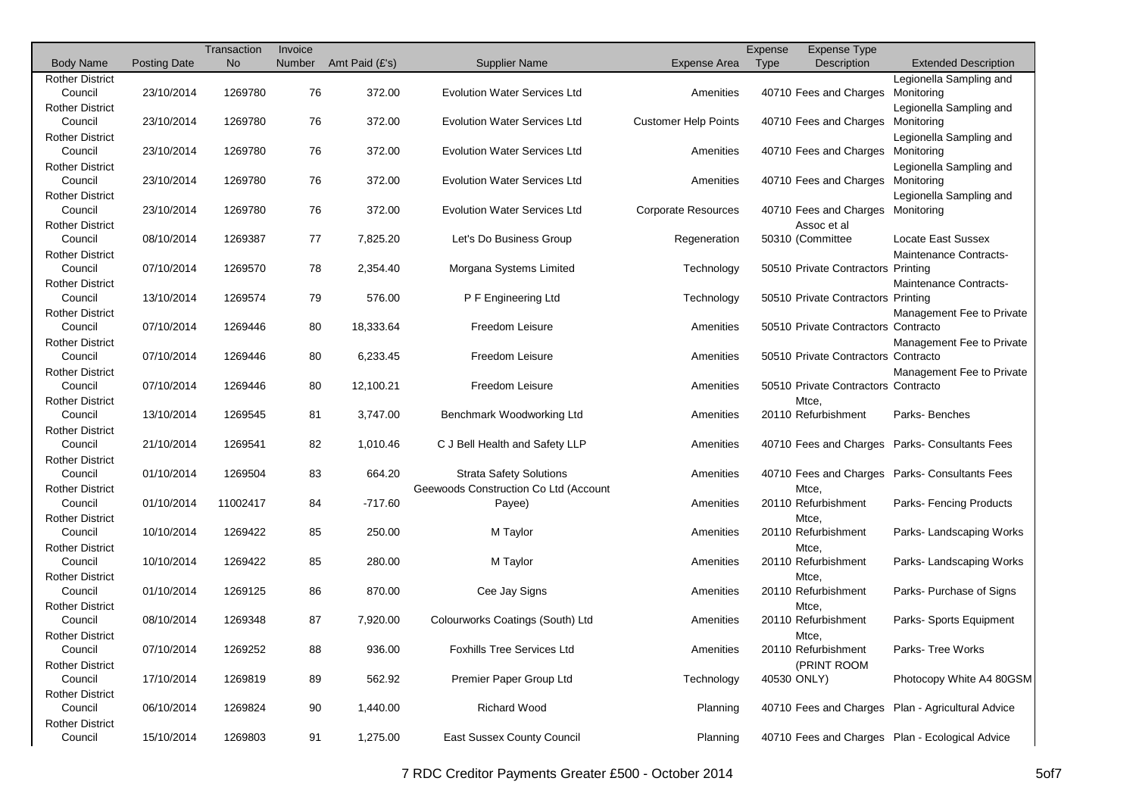|                                   |                     | Transaction | Invoice |                |                                       |                             | Expense     | <b>Expense Type</b>                 |                                                   |
|-----------------------------------|---------------------|-------------|---------|----------------|---------------------------------------|-----------------------------|-------------|-------------------------------------|---------------------------------------------------|
| <b>Body Name</b>                  | <b>Posting Date</b> | <b>No</b>   | Number  | Amt Paid (£'s) | Supplier Name                         | <b>Expense Area</b>         | <b>Type</b> | Description                         | <b>Extended Description</b>                       |
| <b>Rother District</b>            |                     |             |         |                |                                       |                             |             |                                     | Legionella Sampling and                           |
| Council                           | 23/10/2014          | 1269780     | 76      | 372.00         | <b>Evolution Water Services Ltd</b>   | Amenities                   |             | 40710 Fees and Charges              | Monitoring                                        |
| <b>Rother District</b>            |                     |             |         |                |                                       |                             |             |                                     | Legionella Sampling and                           |
| Council                           | 23/10/2014          | 1269780     | 76      | 372.00         | <b>Evolution Water Services Ltd</b>   | <b>Customer Help Points</b> |             | 40710 Fees and Charges              | Monitoring                                        |
| <b>Rother District</b>            |                     |             |         |                |                                       |                             |             |                                     | Legionella Sampling and                           |
| Council                           | 23/10/2014          | 1269780     | 76      | 372.00         | <b>Evolution Water Services Ltd</b>   | Amenities                   |             | 40710 Fees and Charges              | Monitoring                                        |
| <b>Rother District</b>            |                     |             |         |                |                                       |                             |             |                                     | Legionella Sampling and                           |
| Council                           | 23/10/2014          | 1269780     | 76      | 372.00         | <b>Evolution Water Services Ltd</b>   | Amenities                   |             | 40710 Fees and Charges              | Monitoring                                        |
| <b>Rother District</b>            |                     |             |         |                |                                       |                             |             |                                     | Legionella Sampling and                           |
| Council                           | 23/10/2014          | 1269780     | 76      | 372.00         | <b>Evolution Water Services Ltd</b>   | <b>Corporate Resources</b>  |             | 40710 Fees and Charges Monitoring   |                                                   |
| <b>Rother District</b>            |                     |             |         |                |                                       |                             |             | Assoc et al                         | Locate East Sussex                                |
| Council                           | 08/10/2014          | 1269387     | 77      | 7,825.20       | Let's Do Business Group               | Regeneration                |             | 50310 (Committee                    |                                                   |
| <b>Rother District</b><br>Council | 07/10/2014          | 1269570     | 78      | 2,354.40       | Morgana Systems Limited               | Technology                  |             | 50510 Private Contractors Printing  | Maintenance Contracts-                            |
| <b>Rother District</b>            |                     |             |         |                |                                       |                             |             |                                     | Maintenance Contracts-                            |
| Council                           | 13/10/2014          | 1269574     | 79      | 576.00         | P F Engineering Ltd                   | Technology                  |             | 50510 Private Contractors Printing  |                                                   |
| <b>Rother District</b>            |                     |             |         |                |                                       |                             |             |                                     | Management Fee to Private                         |
| Council                           | 07/10/2014          | 1269446     | 80      | 18,333.64      | Freedom Leisure                       | Amenities                   |             | 50510 Private Contractors Contracto |                                                   |
| <b>Rother District</b>            |                     |             |         |                |                                       |                             |             |                                     | Management Fee to Private                         |
| Council                           | 07/10/2014          | 1269446     | 80      | 6,233.45       | Freedom Leisure                       | Amenities                   |             | 50510 Private Contractors Contracto |                                                   |
| <b>Rother District</b>            |                     |             |         |                |                                       |                             |             |                                     | Management Fee to Private                         |
| Council                           | 07/10/2014          | 1269446     | 80      | 12,100.21      | Freedom Leisure                       | Amenities                   |             | 50510 Private Contractors Contracto |                                                   |
| <b>Rother District</b>            |                     |             |         |                |                                       |                             |             | Mtce,                               |                                                   |
| Council                           | 13/10/2014          | 1269545     | 81      | 3,747.00       | Benchmark Woodworking Ltd             | Amenities                   |             | 20110 Refurbishment                 | Parks-Benches                                     |
| <b>Rother District</b>            |                     |             |         |                |                                       |                             |             |                                     |                                                   |
| Council                           | 21/10/2014          | 1269541     | 82      | 1,010.46       | C J Bell Health and Safety LLP        | Amenities                   |             |                                     | 40710 Fees and Charges Parks-Consultants Fees     |
| <b>Rother District</b>            |                     |             |         |                |                                       |                             |             |                                     |                                                   |
| Council                           | 01/10/2014          | 1269504     | 83      | 664.20         | <b>Strata Safety Solutions</b>        | Amenities                   |             | 40710 Fees and Charges              | <b>Parks- Consultants Fees</b>                    |
| <b>Rother District</b>            |                     |             |         |                | Geewoods Construction Co Ltd (Account |                             |             | Mtce,                               |                                                   |
| Council                           | 01/10/2014          | 11002417    | 84      | $-717.60$      | Payee)                                | Amenities                   |             | 20110 Refurbishment                 | Parks-Fencing Products                            |
| <b>Rother District</b>            |                     |             |         |                |                                       |                             |             | Mtce.                               |                                                   |
| Council                           | 10/10/2014          | 1269422     | 85      | 250.00         | M Taylor                              | Amenities                   |             | 20110 Refurbishment                 | Parks-Landscaping Works                           |
| <b>Rother District</b>            |                     |             |         |                |                                       |                             |             | Mtce,                               |                                                   |
| Council                           | 10/10/2014          | 1269422     | 85      | 280.00         | M Taylor                              | Amenities                   |             | 20110 Refurbishment                 | Parks-Landscaping Works                           |
| <b>Rother District</b>            |                     |             |         |                |                                       |                             |             | Mtce,                               |                                                   |
| Council                           | 01/10/2014          | 1269125     | 86      | 870.00         | Cee Jay Signs                         | Amenities                   |             | 20110 Refurbishment                 | Parks-Purchase of Signs                           |
| <b>Rother District</b>            |                     |             |         |                |                                       |                             |             | Mtce,                               |                                                   |
| Council                           | 08/10/2014          | 1269348     | 87      | 7,920.00       | Colourworks Coatings (South) Ltd      | Amenities                   |             | 20110 Refurbishment                 | Parks-Sports Equipment                            |
| <b>Rother District</b>            |                     |             |         |                |                                       |                             |             | Mtce,                               |                                                   |
| Council                           | 07/10/2014          | 1269252     | 88      | 936.00         | Foxhills Tree Services Ltd            | Amenities                   |             | 20110 Refurbishment                 | Parks- Tree Works                                 |
| <b>Rother District</b>            | 17/10/2014          |             |         |                | Premier Paper Group Ltd               |                             |             | (PRINT ROOM                         | Photocopy White A4 80GSM                          |
| Council<br><b>Rother District</b> |                     | 1269819     | 89      | 562.92         |                                       | Technology                  |             | 40530 ONLY)                         |                                                   |
| Council                           | 06/10/2014          | 1269824     | 90      | 1,440.00       | <b>Richard Wood</b>                   | Planning                    |             |                                     | 40710 Fees and Charges Plan - Agricultural Advice |
| <b>Rother District</b>            |                     |             |         |                |                                       |                             |             |                                     |                                                   |
| Council                           | 15/10/2014          | 1269803     | 91      | 1,275.00       | East Sussex County Council            | Planning                    |             |                                     | 40710 Fees and Charges Plan - Ecological Advice   |
|                                   |                     |             |         |                |                                       |                             |             |                                     |                                                   |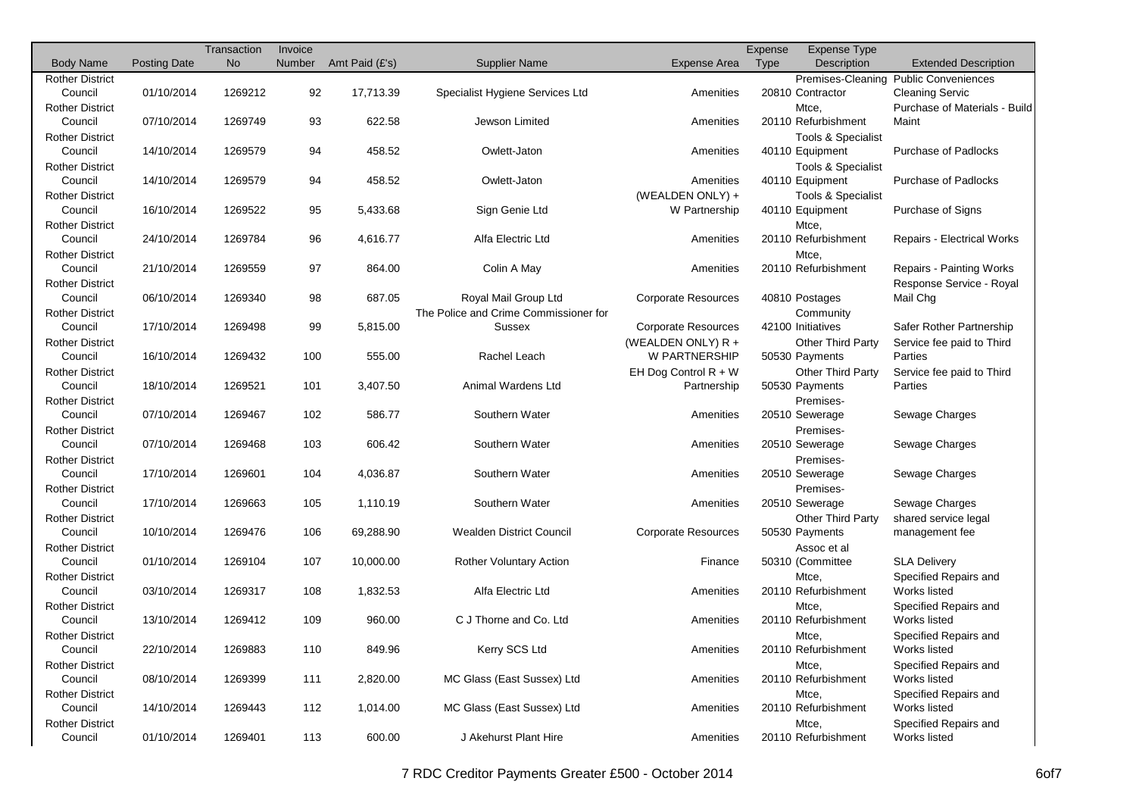|                        |                     | Transaction | Invoice |                |                                       |                            | Expense | <b>Expense Type</b>      |                                       |
|------------------------|---------------------|-------------|---------|----------------|---------------------------------------|----------------------------|---------|--------------------------|---------------------------------------|
| <b>Body Name</b>       | <b>Posting Date</b> | <b>No</b>   | Number  | Amt Paid (£'s) | <b>Supplier Name</b>                  | <b>Expense Area</b>        | Type    | Description              | <b>Extended Description</b>           |
| <b>Rother District</b> |                     |             |         |                |                                       |                            |         |                          | Premises-Cleaning Public Conveniences |
| Council                | 01/10/2014          | 1269212     | 92      | 17,713.39      | Specialist Hygiene Services Ltd       | Amenities                  |         | 20810 Contractor         | <b>Cleaning Servic</b>                |
| <b>Rother District</b> |                     |             |         |                |                                       |                            |         | Mtce,                    | Purchase of Materials - Build         |
| Council                | 07/10/2014          | 1269749     | 93      | 622.58         | Jewson Limited                        | Amenities                  |         | 20110 Refurbishment      | Maint                                 |
| <b>Rother District</b> |                     |             |         |                |                                       |                            |         | Tools & Specialist       |                                       |
| Council                | 14/10/2014          | 1269579     | 94      | 458.52         | Owlett-Jaton                          | Amenities                  |         | 40110 Equipment          | <b>Purchase of Padlocks</b>           |
| <b>Rother District</b> |                     |             |         |                |                                       |                            |         | Tools & Specialist       |                                       |
| Council                | 14/10/2014          | 1269579     | 94      | 458.52         | Owlett-Jaton                          | Amenities                  |         | 40110 Equipment          | <b>Purchase of Padlocks</b>           |
| <b>Rother District</b> |                     |             |         |                |                                       | (WEALDEN ONLY) +           |         | Tools & Specialist       |                                       |
| Council                | 16/10/2014          | 1269522     | 95      | 5,433.68       | Sign Genie Ltd                        | W Partnership              |         | 40110 Equipment          | Purchase of Signs                     |
|                        |                     |             |         |                |                                       |                            |         |                          |                                       |
| <b>Rother District</b> |                     | 1269784     |         |                | Alfa Electric Ltd                     |                            |         | Mtce,                    |                                       |
| Council                | 24/10/2014          |             | 96      | 4,616.77       |                                       | Amenities                  |         | 20110 Refurbishment      | <b>Repairs - Electrical Works</b>     |
| <b>Rother District</b> |                     |             |         |                |                                       |                            |         | Mtce,                    |                                       |
| Council                | 21/10/2014          | 1269559     | 97      | 864.00         | Colin A May                           | Amenities                  |         | 20110 Refurbishment      | Repairs - Painting Works              |
| <b>Rother District</b> |                     |             |         |                |                                       |                            |         |                          | Response Service - Royal              |
| Council                | 06/10/2014          | 1269340     | 98      | 687.05         | Royal Mail Group Ltd                  | <b>Corporate Resources</b> |         | 40810 Postages           | Mail Chg                              |
| <b>Rother District</b> |                     |             |         |                | The Police and Crime Commissioner for |                            |         | Community                |                                       |
| Council                | 17/10/2014          | 1269498     | 99      | 5,815.00       | Sussex                                | <b>Corporate Resources</b> |         | 42100 Initiatives        | Safer Rother Partnership              |
| <b>Rother District</b> |                     |             |         |                |                                       | (WEALDEN ONLY) R +         |         | <b>Other Third Party</b> | Service fee paid to Third             |
| Council                | 16/10/2014          | 1269432     | 100     | 555.00         | Rachel Leach                          | W PARTNERSHIP              |         | 50530 Payments           | Parties                               |
| <b>Rother District</b> |                     |             |         |                |                                       | EH Dog Control $R + W$     |         | <b>Other Third Party</b> | Service fee paid to Third             |
| Council                | 18/10/2014          | 1269521     | 101     | 3,407.50       | Animal Wardens Ltd                    | Partnership                |         | 50530 Payments           | Parties                               |
| <b>Rother District</b> |                     |             |         |                |                                       |                            |         | Premises-                |                                       |
| Council                | 07/10/2014          | 1269467     | 102     | 586.77         | Southern Water                        | Amenities                  |         | 20510 Sewerage           | Sewage Charges                        |
| <b>Rother District</b> |                     |             |         |                |                                       |                            |         | Premises-                |                                       |
| Council                | 07/10/2014          | 1269468     | 103     | 606.42         | Southern Water                        | Amenities                  |         | 20510 Sewerage           | Sewage Charges                        |
| <b>Rother District</b> |                     |             |         |                |                                       |                            |         | Premises-                |                                       |
| Council                | 17/10/2014          | 1269601     | 104     | 4,036.87       | Southern Water                        | Amenities                  |         | 20510 Sewerage           | Sewage Charges                        |
| <b>Rother District</b> |                     |             |         |                |                                       |                            |         | Premises-                |                                       |
| Council                | 17/10/2014          | 1269663     | 105     | 1,110.19       | Southern Water                        | Amenities                  |         | 20510 Sewerage           | Sewage Charges                        |
| <b>Rother District</b> |                     |             |         |                |                                       |                            |         |                          |                                       |
|                        |                     |             |         |                |                                       |                            |         | <b>Other Third Party</b> | shared service legal                  |
| Council                | 10/10/2014          | 1269476     | 106     | 69,288.90      | <b>Wealden District Council</b>       | <b>Corporate Resources</b> |         | 50530 Payments           | management fee                        |
| <b>Rother District</b> |                     |             |         |                |                                       |                            |         | Assoc et al              |                                       |
| Council                | 01/10/2014          | 1269104     | 107     | 10,000.00      | <b>Rother Voluntary Action</b>        | Finance                    |         | 50310 (Committee         | <b>SLA Delivery</b>                   |
| <b>Rother District</b> |                     |             |         |                |                                       |                            |         | Mtce,                    | Specified Repairs and                 |
| Council                | 03/10/2014          | 1269317     | 108     | 1,832.53       | Alfa Electric Ltd                     | Amenities                  |         | 20110 Refurbishment      | Works listed                          |
| <b>Rother District</b> |                     |             |         |                |                                       |                            |         | Mtce,                    | Specified Repairs and                 |
| Council                | 13/10/2014          | 1269412     | 109     | 960.00         | C J Thorne and Co. Ltd                | Amenities                  |         | 20110 Refurbishment      | Works listed                          |
| <b>Rother District</b> |                     |             |         |                |                                       |                            |         | Mtce,                    | Specified Repairs and                 |
| Council                | 22/10/2014          | 1269883     | 110     | 849.96         | Kerry SCS Ltd                         | Amenities                  |         | 20110 Refurbishment      | Works listed                          |
| <b>Rother District</b> |                     |             |         |                |                                       |                            |         | Mtce,                    | Specified Repairs and                 |
| Council                | 08/10/2014          | 1269399     | 111     | 2,820.00       | MC Glass (East Sussex) Ltd            | Amenities                  |         | 20110 Refurbishment      | Works listed                          |
| <b>Rother District</b> |                     |             |         |                |                                       |                            |         | Mtce,                    | Specified Repairs and                 |
| Council                | 14/10/2014          | 1269443     | 112     | 1,014.00       | MC Glass (East Sussex) Ltd            | Amenities                  |         | 20110 Refurbishment      | Works listed                          |
| <b>Rother District</b> |                     |             |         |                |                                       |                            |         | Mtce,                    | Specified Repairs and                 |
| Council                | 01/10/2014          | 1269401     | 113     | 600.00         | J Akehurst Plant Hire                 | Amenities                  |         | 20110 Refurbishment      | Works listed                          |
|                        |                     |             |         |                |                                       |                            |         |                          |                                       |